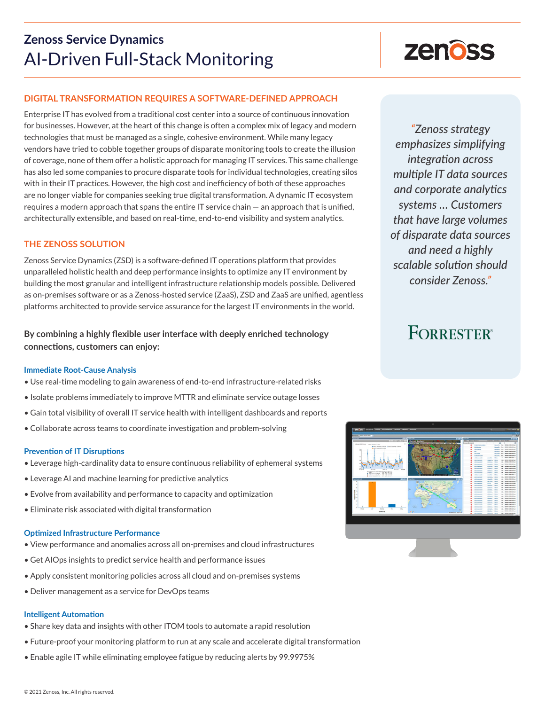## **Zenoss Service Dynamics** AI-Driven Full-Stack Monitoring

### **DIGITAL TRANSFORMATION REQUIRES A SOFTWARE-DEFINED APPROACH**

Enterprise IT has evolved from a traditional cost center into a source of continuous innovation for businesses. However, at the heart of this change is often a complex mix of legacy and modern technologies that must be managed as a single, cohesive environment. While many legacy vendors have tried to cobble together groups of disparate monitoring tools to create the illusion of coverage, none of them offer a holistic approach for managing IT services. This same challenge has also led some companies to procure disparate tools for individual technologies, creating silos with in their IT practices. However, the high cost and inefficiency of both of these approaches are no longer viable for companies seeking true digital transformation. A dynamic IT ecosystem requires a modern approach that spans the entire IT service chain — an approach that is unified, architecturally extensible, and based on real-time, end-to-end visibility and system analytics.

### **THE ZENOSS SOLUTION**

Zenoss Service Dynamics (ZSD) is a software-defined IT operations platform that provides unparalleled holistic health and deep performance insights to optimize any IT environment by building the most granular and intelligent infrastructure relationship models possible. Delivered as on-premises software or as a Zenoss-hosted service (ZaaS), ZSD and ZaaS are unified, agentless platforms architected to provide service assurance for the largest IT environments in the world.

**By combining a highly flexible user interface with deeply enriched technology connections, customers can enjoy:**

### **Immediate Root-Cause Analysis**

- Use real-time modeling to gain awareness of end-to-end infrastructure-related risks
- Isolate problems immediately to improve MTTR and eliminate service outage losses
- Gain total visibility of overall IT service health with intelligent dashboards and reports
- Collaborate across teams to coordinate investigation and problem-solving

### **Prevention of IT Disruptions**

- Leverage high-cardinality data to ensure continuous reliability of ephemeral systems
- Leverage AI and machine learning for predictive analytics
- Evolve from availability and performance to capacity and optimization
- Eliminate risk associated with digital transformation

### **Optimized Infrastructure Performance**

- View performance and anomalies across all on-premises and cloud infrastructures
- Get AIOps insights to predict service health and performance issues
- Apply consistent monitoring policies across all cloud and on-premises systems
- Deliver management as a service for DevOps teams

### **Intelligent Automation**

- Share key data and insights with other ITOM tools to automate a rapid resolution
- Future-proof your monitoring platform to run at any scale and accelerate digital transformation
- Enable agile IT while eliminating employee fatigue by reducing alerts by 99.9975%



*"Zenoss strategy emphasizes simplifying integration across multiple IT data sources and corporate analytics systems … Customers that have large volumes of disparate data sources and need a highly scalable solution should consider Zenoss."*

# **FORRESTER®**